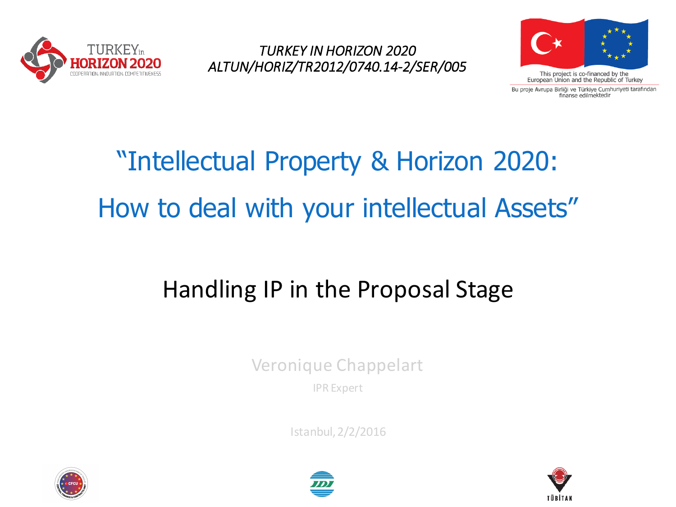

*TURKEY IN HORIZON 2020 ALTUN/HORIZ/TR2012/0740.14-2/SER/005*



Bu proje Avrupa Birliği ve Türkiye Cumhuriyeti tarafından finanse edilmektedir

# "Intellectual Property & Horizon 2020: How to deal with your intellectual Assets"

### Handling IP in the Proposal Stage

Veronique Chappelart

IPR Expert

Istanbul, 2/2/2016





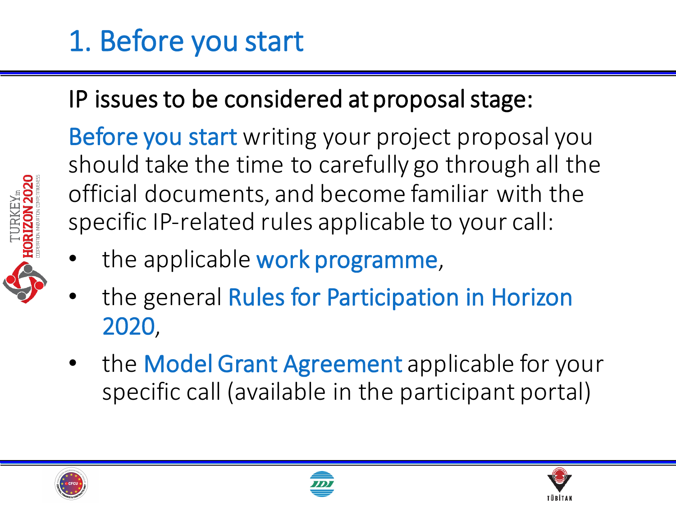## 1. Before you start

### IP issues to be considered at proposal stage:

Before you start writing your project proposal you should take the time to carefully go through all the official documents, and become familiar with the specific IP-related rules applicable to your call:

- the applicable work programme,
- the general Rules for Participation in Horizon 2020,
- the Model Grant Agreement applicable for your specific call (available in the participant portal)







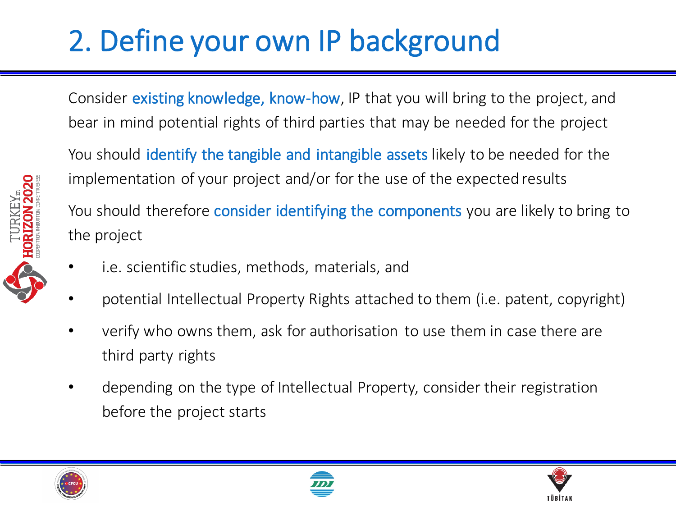# 2. Define your own IP background

Consider existing knowledge, know-how, IP that you will bring to the project, and bear in mind potential rights of third parties that may be needed for the project

You should identify the tangible and intangible assets likely to be needed for the implementation of your project and/or for the use of the expected results

You should therefore **consider identifying the components** you are likely to bring to the project

- i.e. scientific studies, methods, materials, and
- potential Intellectual Property Rights attached to them (i.e. patent, copyright)
- verify who owns them, ask for authorisation to use them in case there are third party rights
- depending on the type of Intellectual Property, consider their registration before the project starts







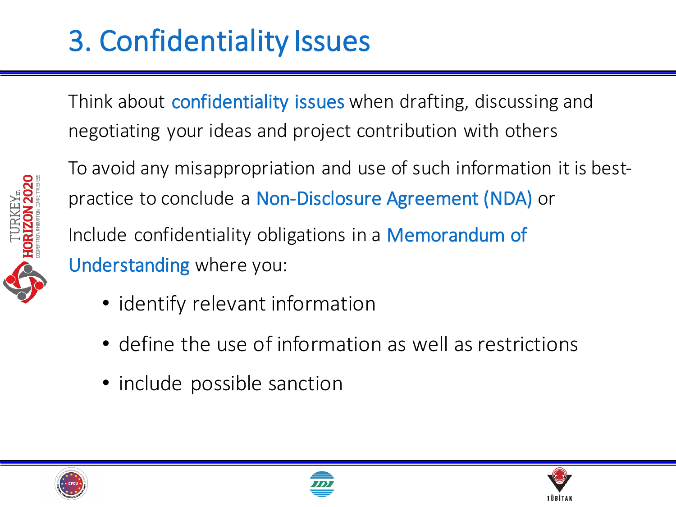## 3. Confidentiality Issues

Think about **confidentiality issues** when drafting, discussing and negotiating your ideas and project contribution with others

To avoid any misappropriation and use of such information it is bestpractice to conclude a Non-Disclosure Agreement (NDA) or Include confidentiality obligations in a Memorandum of Understanding where you:

- identify relevant information
- define the use of information as well as restrictions
- include possible sanction





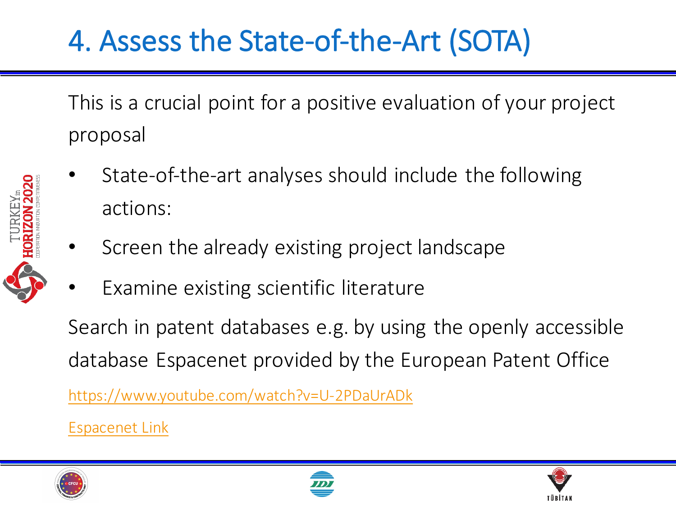### 4. Assess the State-of-the-Art (SOTA)

This is a crucial point for a positive evaluation of your project proposal 

- State-of-the-art analyses should include the following actions:
- Screen the already existing project landscape
- Examine existing scientific literature

Search in patent databases e.g. by using the openly accessible database Espacenet provided by the European Patent Office

https://www.youtube.com/watch?v=U-2PDaUrADk

Espacenet Link





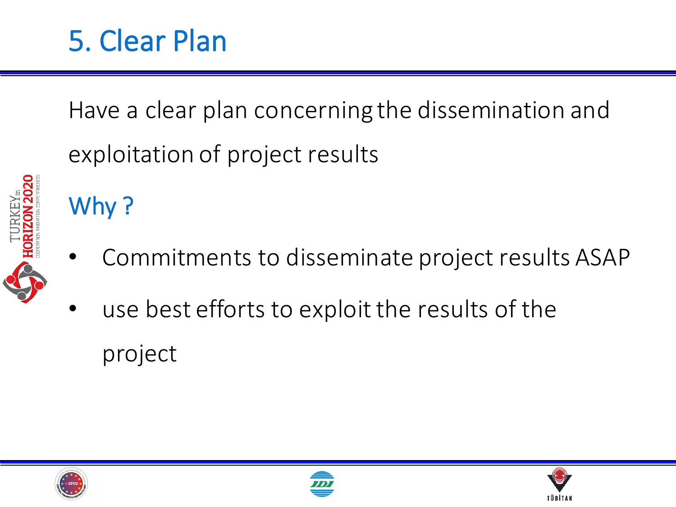## 5. Clear Plan

Have a clear plan concerning the dissemination and exploitation of project results



- Why?
- Commitments to disseminate project results ASAP
- use best efforts to exploit the results of the project





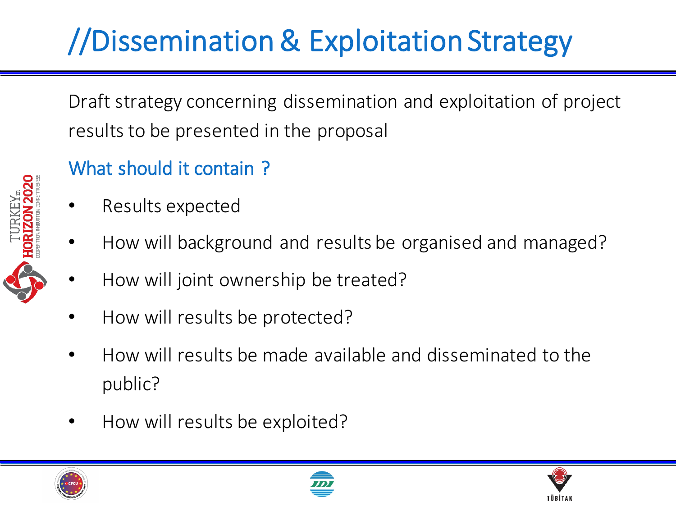# //Dissemination & Exploitation Strategy

Draft strategy concerning dissemination and exploitation of project results to be presented in the proposal

#### What should it contain?

- Results expected
- How will background and results be organised and managed?
- How will joint ownership be treated?
- How will results be protected?
- How will results be made available and disseminated to the public?
- How will results be exploited?





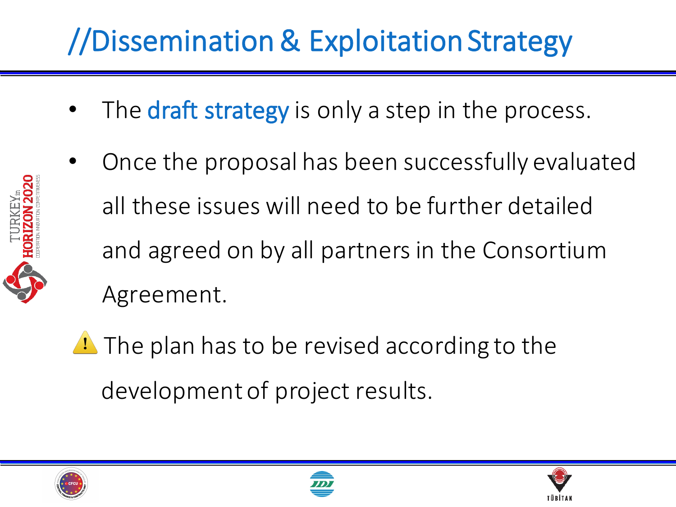# //Dissemination & Exploitation Strategy

- The **draft strategy** is only a step in the process.
- Once the proposal has been successfully evaluated all these issues will need to be further detailed and agreed on by all partners in the Consortium Agreement.
- $\triangle$  The plan has to be revised according to the development of project results.





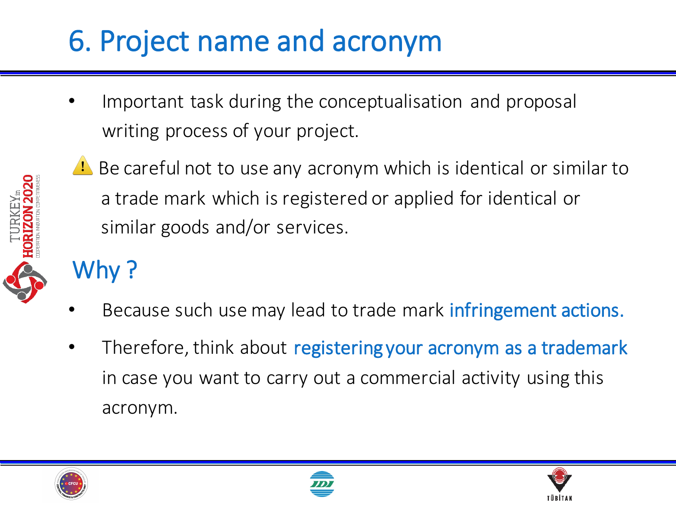## 6. Project name and acronym

Important task during the conceptualisation and proposal writing process of your project.



 $\triangle$  Be careful not to use any acronym which is identical or similar to a trade mark which is registered or applied for identical or similar goods and/or services.

### Why?

- Because such use may lead to trade mark infringement actions.
- Therefore, think about registering your acronym as a trademark in case you want to carry out a commercial activity using this acronym.





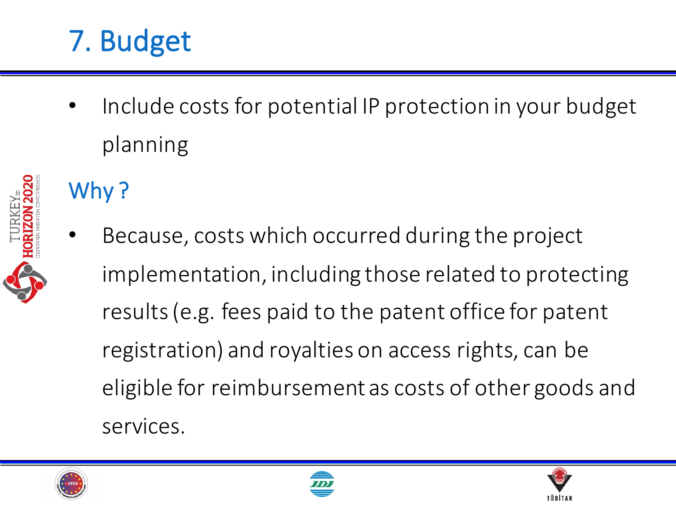## 7. Budget

Include costs for potential IP protection in your budget planning

### Why?

Because, costs which occurred during the project implementation, including those related to protecting results (e.g. fees paid to the patent office for patent registration) and royalties on access rights, can be eligible for reimbursement as costs of other goods and services.